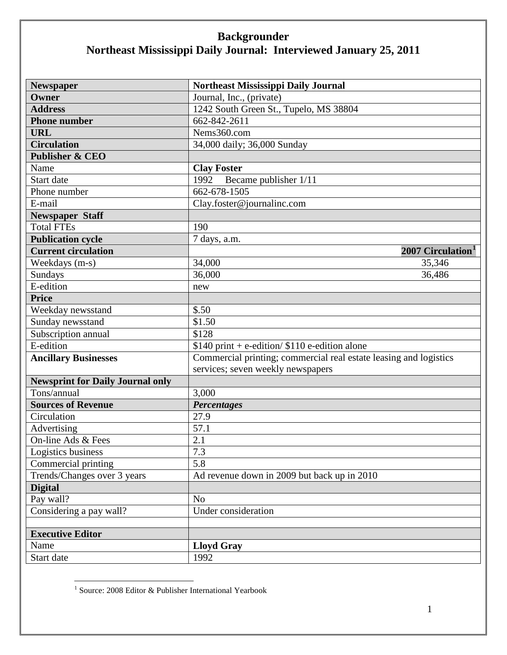| <b>Newspaper</b>                        | Northeast Mississippi Daily Journal                               |
|-----------------------------------------|-------------------------------------------------------------------|
| Owner                                   | Journal, Inc., (private)                                          |
| <b>Address</b>                          | 1242 South Green St., Tupelo, MS 38804                            |
| <b>Phone number</b>                     | $662 - 842 - 2611$                                                |
| <b>URL</b>                              | Nems360.com                                                       |
| <b>Circulation</b>                      | 34,000 daily; 36,000 Sunday                                       |
| <b>Publisher &amp; CEO</b>              |                                                                   |
| Name                                    | <b>Clay Foster</b>                                                |
| Start date                              | 1992<br>Became publisher 1/11                                     |
| Phone number                            | 662-678-1505                                                      |
| E-mail                                  | Clay.foster@journalinc.com                                        |
| <b>Newspaper Staff</b>                  |                                                                   |
| <b>Total FTEs</b>                       | 190                                                               |
| <b>Publication cycle</b>                | 7 days, a.m.                                                      |
| <b>Current circulation</b>              | 2007 Circulation <sup>1</sup>                                     |
| Weekdays (m-s)                          | 34,000<br>35,346                                                  |
| Sundays                                 | 36,000<br>36,486                                                  |
| E-edition                               | new                                                               |
| <b>Price</b>                            |                                                                   |
| Weekday newsstand                       | \$.50                                                             |
| Sunday newsstand                        | \$1.50                                                            |
| Subscription annual                     | \$128                                                             |
| E-edition                               | $$140$ print + e-edition/ $$110$ e-edition alone                  |
| <b>Ancillary Businesses</b>             | Commercial printing; commercial real estate leasing and logistics |
|                                         | services; seven weekly newspapers                                 |
| <b>Newsprint for Daily Journal only</b> |                                                                   |
| Tons/annual                             | 3,000                                                             |
| <b>Sources of Revenue</b>               | <b>Percentages</b>                                                |
| Circulation                             | 27.9                                                              |
| Advertising                             | 57.1                                                              |
| On-line Ads & Fees                      | 2.1                                                               |
| Logistics business                      | 7.3                                                               |
| Commercial printing                     | 5.8                                                               |
| Trends/Changes over 3 years             | Ad revenue down in 2009 but back up in 2010                       |
| <b>Digital</b>                          |                                                                   |
| Pay wall?                               | N <sub>o</sub>                                                    |
| Considering a pay wall?                 | <b>Under consideration</b>                                        |
|                                         |                                                                   |
| <b>Executive Editor</b>                 |                                                                   |
| Name                                    | <b>Lloyd Gray</b>                                                 |
| Start date                              | 1992                                                              |

<span id="page-0-0"></span><sup>&</sup>lt;sup>1</sup> Source: 2008 Editor & Publisher International Yearbook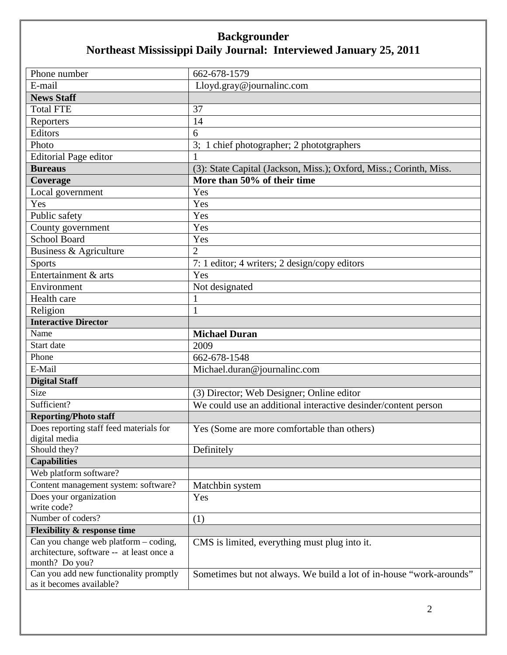| Phone number                                                            | 662-678-1579                                                        |
|-------------------------------------------------------------------------|---------------------------------------------------------------------|
| E-mail                                                                  | Lloyd.gray@journalinc.com                                           |
| <b>News Staff</b>                                                       |                                                                     |
| <b>Total FTE</b>                                                        | 37                                                                  |
| Reporters                                                               | 14                                                                  |
| Editors                                                                 | 6                                                                   |
| Photo                                                                   | 3; 1 chief photographer; 2 phototgraphers                           |
| <b>Editorial Page editor</b>                                            | 1                                                                   |
| <b>Bureaus</b>                                                          | (3): State Capital (Jackson, Miss.); Oxford, Miss.; Corinth, Miss.  |
| Coverage                                                                | More than 50% of their time                                         |
| Local government                                                        | Yes                                                                 |
| Yes                                                                     | Yes                                                                 |
| Public safety                                                           | Yes                                                                 |
| County government                                                       | Yes                                                                 |
| <b>School Board</b>                                                     | Yes                                                                 |
| Business & Agriculture                                                  | $\overline{2}$                                                      |
| <b>Sports</b>                                                           | 7: 1 editor; 4 writers; 2 design/copy editors                       |
| Entertainment & arts                                                    | Yes                                                                 |
| Environment                                                             | Not designated                                                      |
| Health care                                                             |                                                                     |
| Religion                                                                | $\mathbf{1}$                                                        |
| <b>Interactive Director</b>                                             |                                                                     |
|                                                                         |                                                                     |
| Name                                                                    | <b>Michael Duran</b>                                                |
| Start date                                                              | 2009                                                                |
| Phone                                                                   | 662-678-1548                                                        |
| E-Mail                                                                  | Michael.duran@journalinc.com                                        |
|                                                                         |                                                                     |
| <b>Digital Staff</b><br>Size                                            | (3) Director; Web Designer; Online editor                           |
| Sufficient?                                                             |                                                                     |
|                                                                         | We could use an additional interactive desinder/content person      |
| <b>Reporting/Photo staff</b><br>Does reporting staff feed materials for | Yes (Some are more comfortable than others)                         |
| digital media                                                           |                                                                     |
| Should they?                                                            | Definitely                                                          |
| <b>Capabilities</b>                                                     |                                                                     |
| Web platform software?                                                  |                                                                     |
| Content management system: software?                                    | Matchbin system                                                     |
| Does your organization                                                  | Yes                                                                 |
| write code?                                                             |                                                                     |
| Number of coders?                                                       | (1)                                                                 |
| <b>Flexibility &amp; response time</b>                                  |                                                                     |
| Can you change web platform – coding,                                   | CMS is limited, everything must plug into it.                       |
| architecture, software -- at least once a                               |                                                                     |
| month? Do you?<br>Can you add new functionality promptly                | Sometimes but not always. We build a lot of in-house "work-arounds" |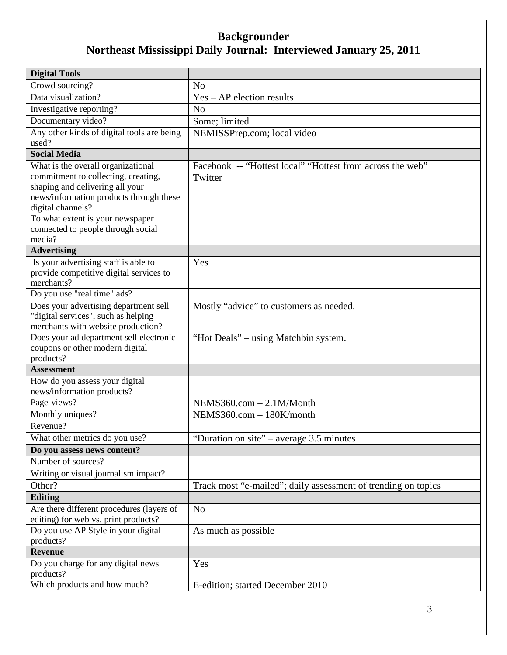| <b>Digital Tools</b>                                                   |                                                               |
|------------------------------------------------------------------------|---------------------------------------------------------------|
| Crowd sourcing?                                                        | N <sub>o</sub>                                                |
| Data visualization?                                                    | Yes - AP election results                                     |
| Investigative reporting?                                               | N <sub>o</sub>                                                |
| Documentary video?                                                     | Some; limited                                                 |
| Any other kinds of digital tools are being                             | NEMISSPrep.com; local video                                   |
| used?                                                                  |                                                               |
| <b>Social Media</b>                                                    |                                                               |
| What is the overall organizational                                     | Facebook -- "Hottest local" "Hottest from across the web"     |
| commitment to collecting, creating,<br>shaping and delivering all your | Twitter                                                       |
| news/information products through these                                |                                                               |
| digital channels?                                                      |                                                               |
| To what extent is your newspaper                                       |                                                               |
| connected to people through social                                     |                                                               |
| media?                                                                 |                                                               |
| <b>Advertising</b>                                                     |                                                               |
| Is your advertising staff is able to                                   | Yes                                                           |
| provide competitive digital services to                                |                                                               |
| merchants?<br>Do you use "real time" ads?                              |                                                               |
| Does your advertising department sell                                  | Mostly "advice" to customers as needed.                       |
| "digital services", such as helping                                    |                                                               |
| merchants with website production?                                     |                                                               |
| Does your ad department sell electronic                                | "Hot Deals" – using Matchbin system.                          |
| coupons or other modern digital                                        |                                                               |
| products?                                                              |                                                               |
| <b>Assessment</b>                                                      |                                                               |
| How do you assess your digital                                         |                                                               |
| news/information products?                                             |                                                               |
| Page-views?<br>Monthly uniques?                                        | $NEMS360.com - 2.1M/Month$<br>NEMS360.com - 180K/month        |
| Revenue?                                                               |                                                               |
|                                                                        |                                                               |
| What other metrics do you use?<br>Do you assess news content?          | "Duration on site" – average 3.5 minutes                      |
| Number of sources?                                                     |                                                               |
| Writing or visual journalism impact?                                   |                                                               |
| Other?                                                                 | Track most "e-mailed"; daily assessment of trending on topics |
| <b>Editing</b>                                                         |                                                               |
| Are there different procedures (layers of                              | N <sub>o</sub>                                                |
| editing) for web vs. print products?                                   |                                                               |
| Do you use AP Style in your digital                                    | As much as possible                                           |
| products?                                                              |                                                               |
| <b>Revenue</b>                                                         |                                                               |
| Do you charge for any digital news                                     | Yes                                                           |
| products?                                                              |                                                               |
| Which products and how much?                                           | E-edition; started December 2010                              |